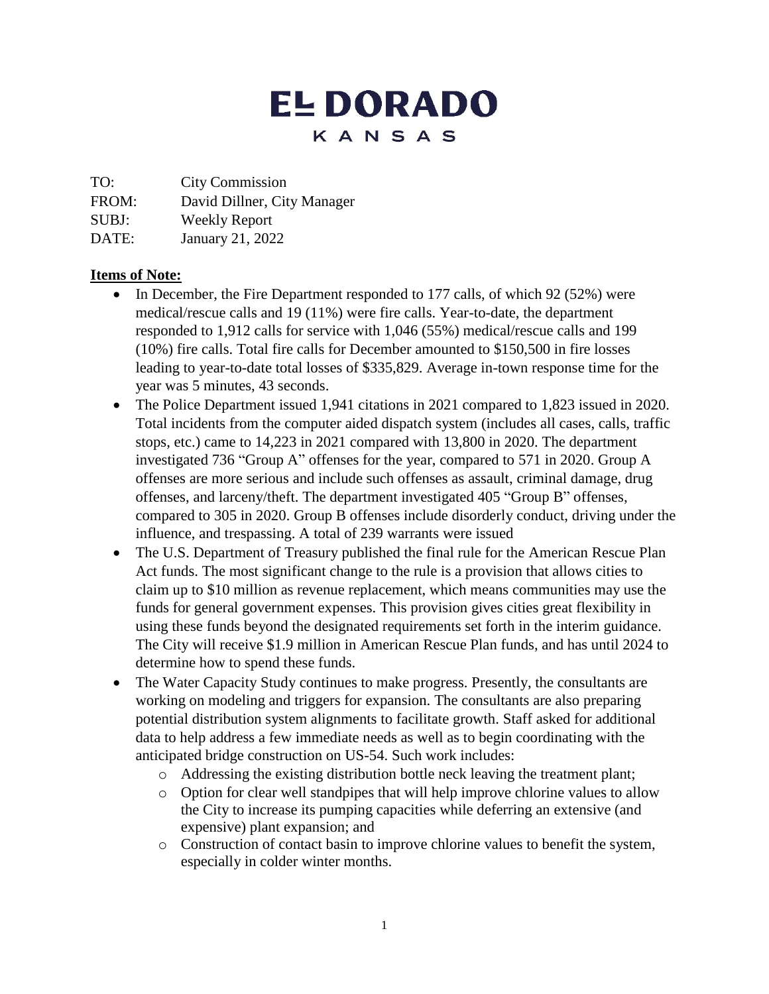# **EL DORADO** KANSAS

TO: City Commission

FROM: David Dillner, City Manager

SUBJ: Weekly Report

DATE: January 21, 2022

## **Items of Note:**

- In December, the Fire Department responded to 177 calls, of which 92 (52%) were medical/rescue calls and 19 (11%) were fire calls. Year-to-date, the department responded to 1,912 calls for service with 1,046 (55%) medical/rescue calls and 199 (10%) fire calls. Total fire calls for December amounted to \$150,500 in fire losses leading to year-to-date total losses of \$335,829. Average in-town response time for the year was 5 minutes, 43 seconds.
- The Police Department issued 1,941 citations in 2021 compared to 1,823 issued in 2020. Total incidents from the computer aided dispatch system (includes all cases, calls, traffic stops, etc.) came to 14,223 in 2021 compared with 13,800 in 2020. The department investigated 736 "Group A" offenses for the year, compared to 571 in 2020. Group A offenses are more serious and include such offenses as assault, criminal damage, drug offenses, and larceny/theft. The department investigated 405 "Group B" offenses, compared to 305 in 2020. Group B offenses include disorderly conduct, driving under the influence, and trespassing. A total of 239 warrants were issued
- The U.S. Department of Treasury published the final rule for the American Rescue Plan Act funds. The most significant change to the rule is a provision that allows cities to claim up to \$10 million as revenue replacement, which means communities may use the funds for general government expenses. This provision gives cities great flexibility in using these funds beyond the designated requirements set forth in the interim guidance. The City will receive \$1.9 million in American Rescue Plan funds, and has until 2024 to determine how to spend these funds.
- The Water Capacity Study continues to make progress. Presently, the consultants are working on modeling and triggers for expansion. The consultants are also preparing potential distribution system alignments to facilitate growth. Staff asked for additional data to help address a few immediate needs as well as to begin coordinating with the anticipated bridge construction on US-54. Such work includes:
	- o Addressing the existing distribution bottle neck leaving the treatment plant;
	- o Option for clear well standpipes that will help improve chlorine values to allow the City to increase its pumping capacities while deferring an extensive (and expensive) plant expansion; and
	- o Construction of contact basin to improve chlorine values to benefit the system, especially in colder winter months.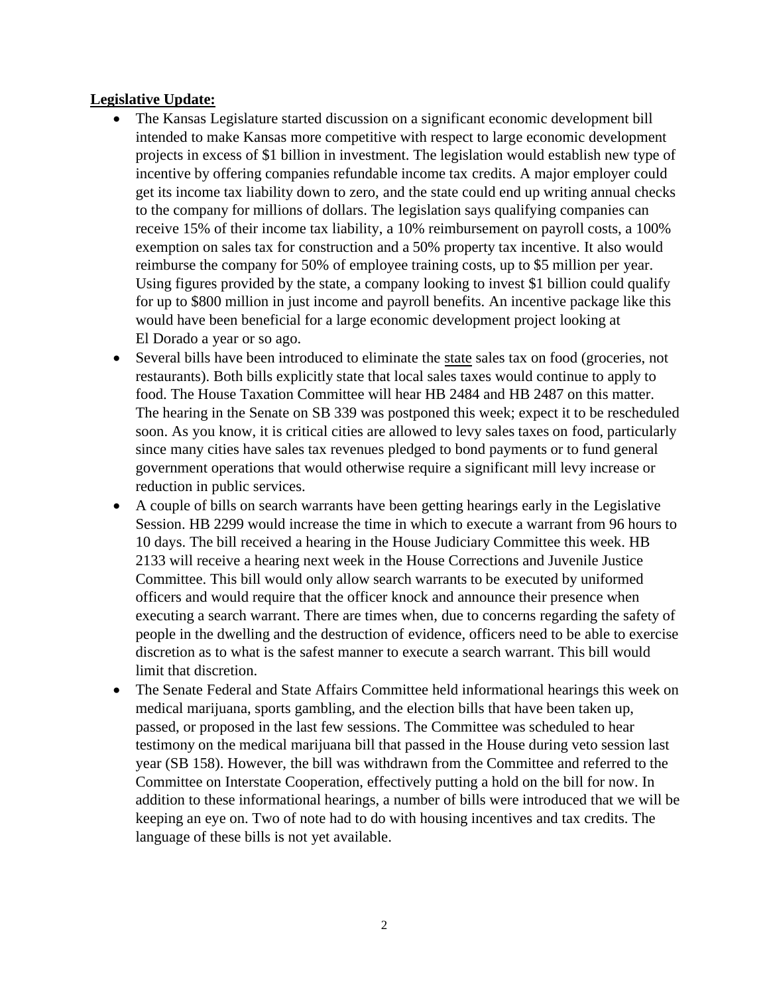#### **Legislative Update:**

- The Kansas Legislature started discussion on a significant economic development bill intended to make Kansas more competitive with respect to large economic development projects in excess of \$1 billion in investment. The legislation would establish new type of incentive by offering companies refundable income tax credits. A major employer could get its income tax liability down to zero, and the state could end up writing annual checks to the company for millions of dollars. The legislation says qualifying companies can receive 15% of their income tax liability, a 10% reimbursement on payroll costs, a 100% exemption on sales tax for construction and a 50% property tax incentive. It also would reimburse the company for 50% of employee training costs, up to \$5 million per year. Using figures provided by the state, a company looking to invest \$1 billion could qualify for up to \$800 million in just income and payroll benefits. An incentive package like this would have been beneficial for a large economic development project looking at El Dorado a year or so ago.
- Several bills have been introduced to eliminate the state sales tax on food (groceries, not restaurants). Both bills explicitly state that local sales taxes would continue to apply to food. The House Taxation Committee will hear HB 2484 and HB 2487 on this matter. The hearing in the Senate on SB 339 was postponed this week; expect it to be rescheduled soon. As you know, it is critical cities are allowed to levy sales taxes on food, particularly since many cities have sales tax revenues pledged to bond payments or to fund general government operations that would otherwise require a significant mill levy increase or reduction in public services.
- A couple of bills on search warrants have been getting hearings early in the Legislative Session. HB 2299 would increase the time in which to execute a warrant from 96 hours to 10 days. The bill received a hearing in the House Judiciary Committee this week. HB 2133 will receive a hearing next week in the House Corrections and Juvenile Justice Committee. This bill would only allow search warrants to be executed by uniformed officers and would require that the officer knock and announce their presence when executing a search warrant. There are times when, due to concerns regarding the safety of people in the dwelling and the destruction of evidence, officers need to be able to exercise discretion as to what is the safest manner to execute a search warrant. This bill would limit that discretion.
- The Senate Federal and State Affairs Committee held informational hearings this week on medical marijuana, sports gambling, and the election bills that have been taken up, passed, or proposed in the last few sessions. The Committee was scheduled to hear testimony on the medical marijuana bill that passed in the House during veto session last year (SB 158). However, the bill was withdrawn from the Committee and referred to the Committee on Interstate Cooperation, effectively putting a hold on the bill for now. In addition to these informational hearings, a number of bills were introduced that we will be keeping an eye on. Two of note had to do with housing incentives and tax credits. The language of these bills is not yet available.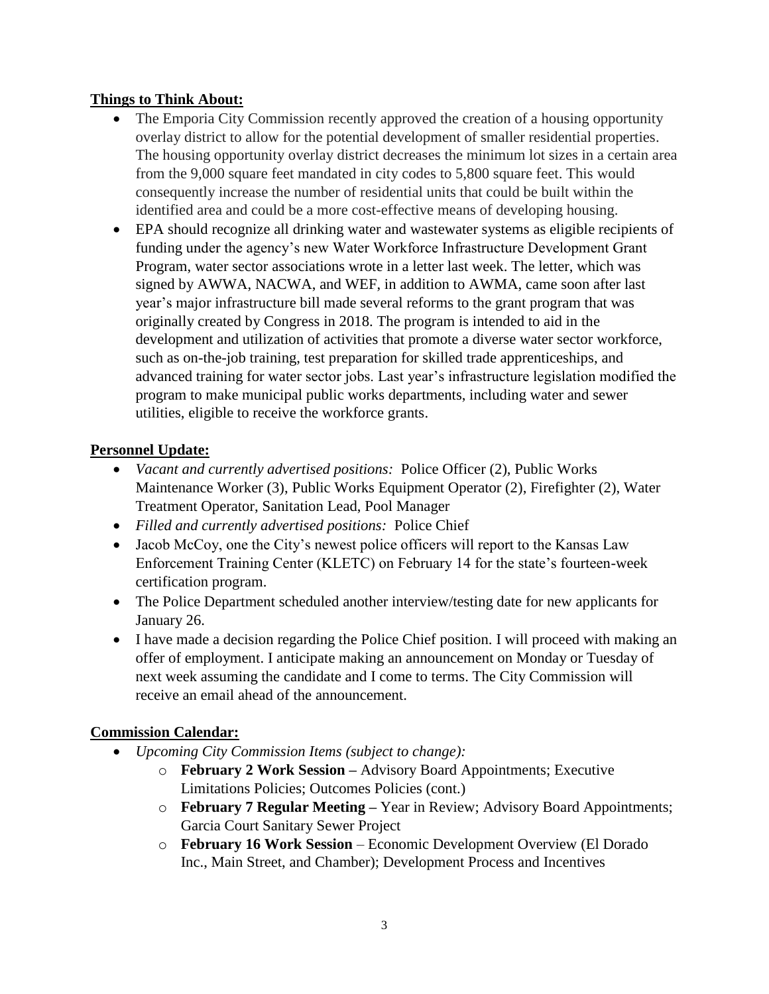### **Things to Think About:**

- The Emporia City Commission recently approved the creation of a housing opportunity overlay district to allow for the potential development of smaller residential properties. The housing opportunity overlay district decreases the minimum lot sizes in a certain area from the 9,000 square feet mandated in city codes to 5,800 square feet. This would consequently increase the number of residential units that could be built within the identified area and could be a more cost-effective means of developing housing.
- EPA should recognize all drinking water and wastewater systems as eligible recipients of funding under the agency's new Water Workforce Infrastructure Development Grant Program, water sector associations wrote in a letter last week. The letter, which was signed by AWWA, NACWA, and WEF, in addition to AWMA, came soon after last year's major infrastructure bill made several reforms to the grant program that was originally created by Congress in 2018. The program is intended to aid in the development and utilization of activities that promote a diverse water sector workforce, such as on-the-job training, test preparation for skilled trade apprenticeships, and advanced training for water sector jobs. Last year's infrastructure legislation modified the program to make municipal public works departments, including water and sewer utilities, eligible to receive the workforce grants.

### **Personnel Update:**

- *Vacant and currently advertised positions:* Police Officer (2), Public Works Maintenance Worker (3), Public Works Equipment Operator (2), Firefighter (2), Water Treatment Operator, Sanitation Lead, Pool Manager
- *Filled and currently advertised positions:* Police Chief
- Jacob McCoy, one the City's newest police officers will report to the Kansas Law Enforcement Training Center (KLETC) on February 14 for the state's fourteen-week certification program.
- The Police Department scheduled another interview/testing date for new applicants for January 26.
- I have made a decision regarding the Police Chief position. I will proceed with making an offer of employment. I anticipate making an announcement on Monday or Tuesday of next week assuming the candidate and I come to terms. The City Commission will receive an email ahead of the announcement.

#### **Commission Calendar:**

- *Upcoming City Commission Items (subject to change):*
	- o **February 2 Work Session –** Advisory Board Appointments; Executive Limitations Policies; Outcomes Policies (cont.)
	- o **February 7 Regular Meeting –** Year in Review; Advisory Board Appointments; Garcia Court Sanitary Sewer Project
	- o **February 16 Work Session** Economic Development Overview (El Dorado Inc., Main Street, and Chamber); Development Process and Incentives